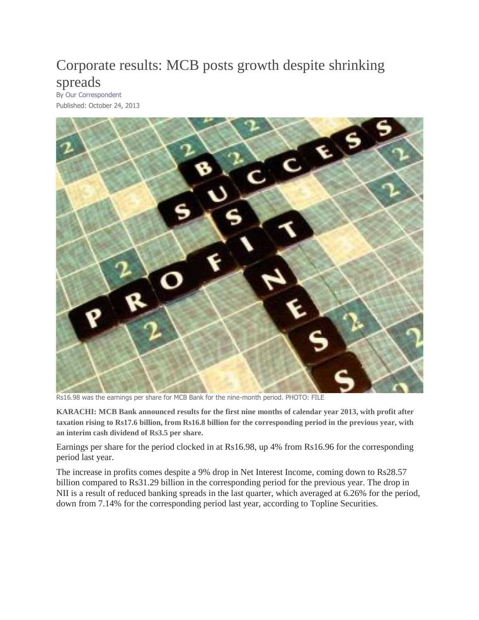## [Corporate](http://tribune.com.pk/story/622023/corporate-results-mcb-posts-growth-despite-shrinking-spreads/) results: MCB posts growth despite shrinking [spreads](http://tribune.com.pk/story/622023/corporate-results-mcb-posts-growth-despite-shrinking-spreads/)

By Our [Correspondent](http://tribune.com.pk/author/303/our-correspondent/) Published: October 24, 2013



Rs16.98 was the earnings per share for MCB Bank for the nine-month period. PHOTO: FILE

**KARACHI: MCB Bank announced results for the first nine months of calendar year 2013, with profit after taxation rising to Rs17.6 billion, from Rs16.8 billion for the corresponding period in the previous year, with an interim cash dividend of Rs3.5 per share.**

Earnings per share for the period clocked in at Rs16.98, up 4% from Rs16.96 for the corresponding period last year.

The increase in profits comes despite a 9% drop in Net Interest Income, coming down to Rs28.57 billion compared to Rs31.29 billion in the corresponding period for the previous year. The drop in NII is a result of reduced banking spreads in the last quarter, which averaged at 6.26% for the period, down from 7.14% for the corresponding period last year, according to Topline Securities.